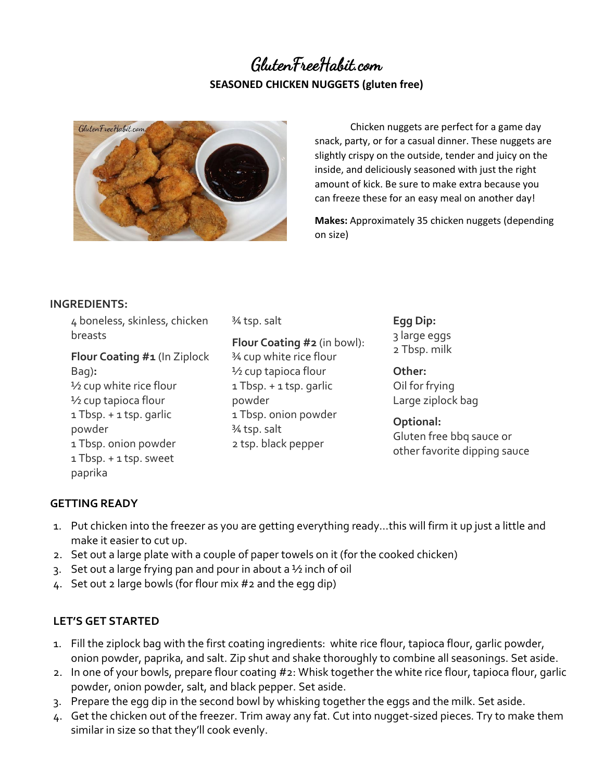## GlutenFreeHabit.com **SEASONED CHICKEN NUGGETS (gluten free)**



Chicken nuggets are perfect for a game day snack, party, or for a casual dinner. These nuggets are slightly crispy on the outside, tender and juicy on the inside, and deliciously seasoned with just the right amount of kick. Be sure to make extra because you can freeze these for an easy meal on another day!

**Makes:** Approximately 35 chicken nuggets (depending on size)

## **INGREDIENTS:**

4 boneless, skinless, chicken breasts

**Flour Coating #1** (In Ziplock Bag)**:** ½ cup white rice flour ½ cup tapioca flour 1 Tbsp. + 1 tsp. garlic powder 1 Tbsp. onion powder 1 Tbsp. + 1 tsp. sweet paprika

¾ tsp. salt

**Flour Coating #2** (in bowl): ¾ cup white rice flour ½ cup tapioca flour 1 Tbsp. + 1 tsp. garlic powder 1 Tbsp. onion powder ¾ tsp. salt 2 tsp. black pepper

**Egg Dip:** 3 large eggs 2 Tbsp. milk

**Other:** Oil for frying Large ziplock bag

**Optional:** Gluten free bbq sauce or other favorite dipping sauce

## **GETTING READY**

- 1. Put chicken into the freezer as you are getting everything ready…this will firm it up just a little and make it easier to cut up.
- 2. Set out a large plate with a couple of paper towels on it (for the cooked chicken)
- 3. Set out a large frying pan and pour in about a ½ inch of oil
- 4. Set out 2 large bowls (for flour mix #2 and the egg dip)

## **LET'S GET STARTED**

- 1. Fill the ziplock bag with the first coating ingredients: white rice flour, tapioca flour, garlic powder, onion powder, paprika, and salt. Zip shut and shake thoroughly to combine all seasonings. Set aside.
- 2. In one of your bowls, prepare flour coating #2: Whisk together the white rice flour, tapioca flour, garlic powder, onion powder, salt, and black pepper. Set aside.
- 3. Prepare the egg dip in the second bowl by whisking together the eggs and the milk. Set aside.
- 4. Get the chicken out of the freezer. Trim away any fat. Cut into nugget-sized pieces. Try to make them similar in size so that they'll cook evenly.